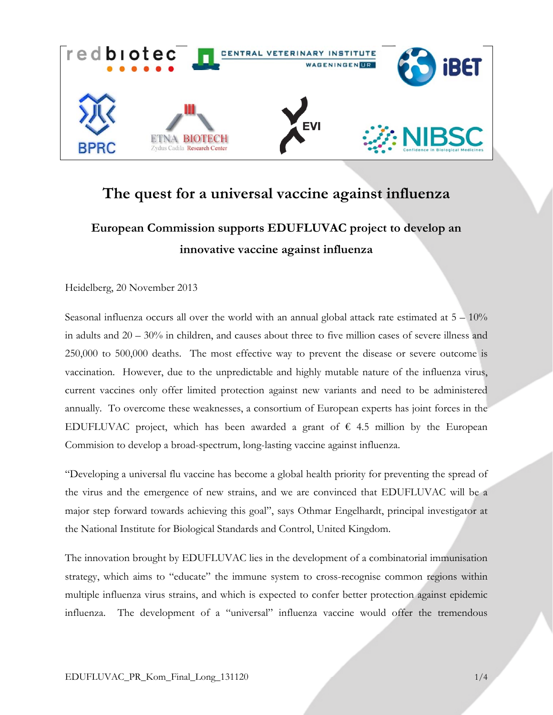

# **The quest for a universal vaccine against influenza**

# **European Commission supports EDUFLUVAC project to develop an innovative vaccine against influenza**

Heidelberg, 20 November 2013

Seasonal influenza occurs all over the world with an annual global attack rate estimated at  $5 - 10\%$ in adults and 20 – 30% in children, and causes about three to five million cases of severe illness and 250,000 to 500,000 deaths. The most effective way to prevent the disease or severe outcome is vaccination. However, due to the unpredictable and highly mutable nature of the influenza virus, current vaccines only offer limited protection against new variants and need to be administered annually. To overcome these weaknesses, a consortium of European experts has joint forces in the EDUFLUVAC project, which has been awarded a grant of  $\epsilon$  4.5 million by the European Commision to develop a broad-spectrum, long-lasting vaccine against influenza.

"Developing a universal flu vaccine has become a global health priority for preventing the spread of the virus and the emergence of new strains, and we are convinced that EDUFLUVAC will be a major step forward towards achieving this goal", says Othmar Engelhardt, principal investigator at the National Institute for Biological Standards and Control, United Kingdom.

The innovation brought by EDUFLUVAC lies in the development of a combinatorial immunisation strategy, which aims to "educate" the immune system to cross-recognise common regions within multiple influenza virus strains, and which is expected to confer better protection against epidemic influenza. The development of a "universal" influenza vaccine would offer the tremendous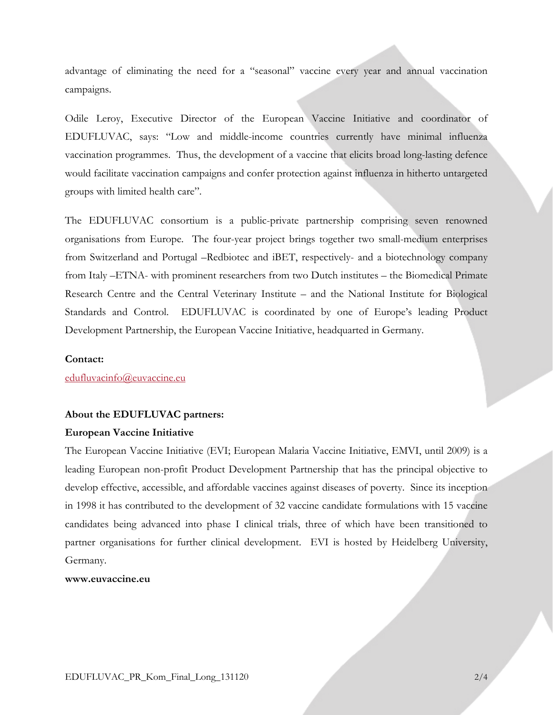advantage of eliminating the need for a "seasonal" vaccine every year and annual vaccination campaigns.

Odile Leroy, Executive Director of the European Vaccine Initiative and coordinator of EDUFLUVAC, says: "Low and middle-income countries currently have minimal influenza vaccination programmes. Thus, the development of a vaccine that elicits broad long-lasting defence would facilitate vaccination campaigns and confer protection against influenza in hitherto untargeted groups with limited health care".

The EDUFLUVAC consortium is a public-private partnership comprising seven renowned organisations from Europe. The four-year project brings together two small-medium enterprises from Switzerland and Portugal –Redbiotec and iBET, respectively- and a biotechnology company from Italy –ETNA- with prominent researchers from two Dutch institutes – the Biomedical Primate Research Centre and the Central Veterinary Institute – and the National Institute for Biological Standards and Control. EDUFLUVAC is coordinated by one of Europe's leading Product Development Partnership, the European Vaccine Initiative, headquarted in Germany.

#### **Contact:**

edufluvacinfo@euvaccine.eu

## **About the EDUFLUVAC partners:**

### **European Vaccine Initiative**

The European Vaccine Initiative (EVI; European Malaria Vaccine Initiative, EMVI, until 2009) is a leading European non-profit Product Development Partnership that has the principal objective to develop effective, accessible, and affordable vaccines against diseases of poverty. Since its inception in 1998 it has contributed to the development of 32 vaccine candidate formulations with 15 vaccine candidates being advanced into phase I clinical trials, three of which have been transitioned to partner organisations for further clinical development. EVI is hosted by Heidelberg University, Germany.

**www.euvaccine.eu**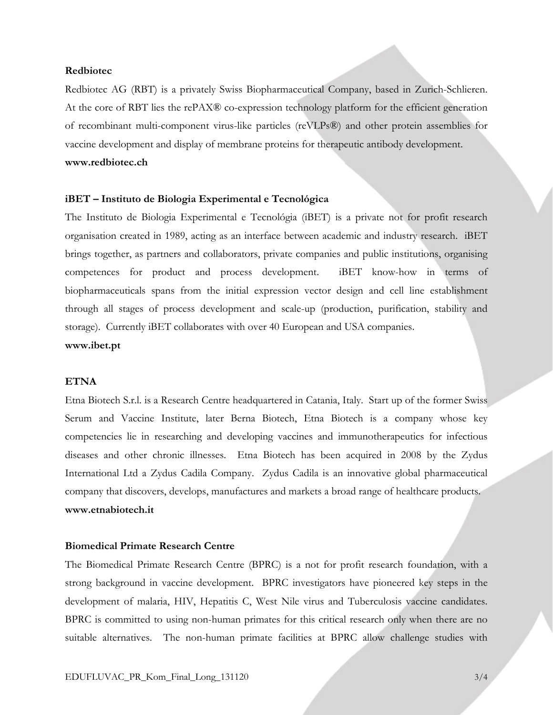## **Redbiotec**

Redbiotec AG (RBT) is a privately Swiss Biopharmaceutical Company, based in Zurich-Schlieren. At the core of RBT lies the rePAX® co-expression technology platform for the efficient generation of recombinant multi-component virus-like particles (reVLPs®) and other protein assemblies for vaccine development and display of membrane proteins for therapeutic antibody development. **www.redbiotec.ch** 

# **iBET – Instituto de Biologia Experimental e Tecnológica**

The Instituto de Biologia Experimental e Tecnológia (iBET) is a private not for profit research organisation created in 1989, acting as an interface between academic and industry research. iBET brings together, as partners and collaborators, private companies and public institutions, organising competences for product and process development. iBET know-how in terms of biopharmaceuticals spans from the initial expression vector design and cell line establishment through all stages of process development and scale-up (production, purification, stability and storage). Currently iBET collaborates with over 40 European and USA companies.

**www.ibet.pt** 

# **ETNA**

Etna Biotech S.r.l. is a Research Centre headquartered in Catania, Italy. Start up of the former Swiss Serum and Vaccine Institute, later Berna Biotech, Etna Biotech is a company whose key competencies lie in researching and developing vaccines and immunotherapeutics for infectious diseases and other chronic illnesses. Etna Biotech has been acquired in 2008 by the Zydus International Ltd a Zydus Cadila Company. Zydus Cadila is an innovative global pharmaceutical company that discovers, develops, manufactures and markets a broad range of healthcare products. **www.etnabiotech.it** 

# **Biomedical Primate Research Centre**

The Biomedical Primate Research Centre (BPRC) is a not for profit research foundation, with a strong background in vaccine development. BPRC investigators have pioneered key steps in the development of malaria, HIV, Hepatitis C, West Nile virus and Tuberculosis vaccine candidates. BPRC is committed to using non-human primates for this critical research only when there are no suitable alternatives. The non-human primate facilities at BPRC allow challenge studies with